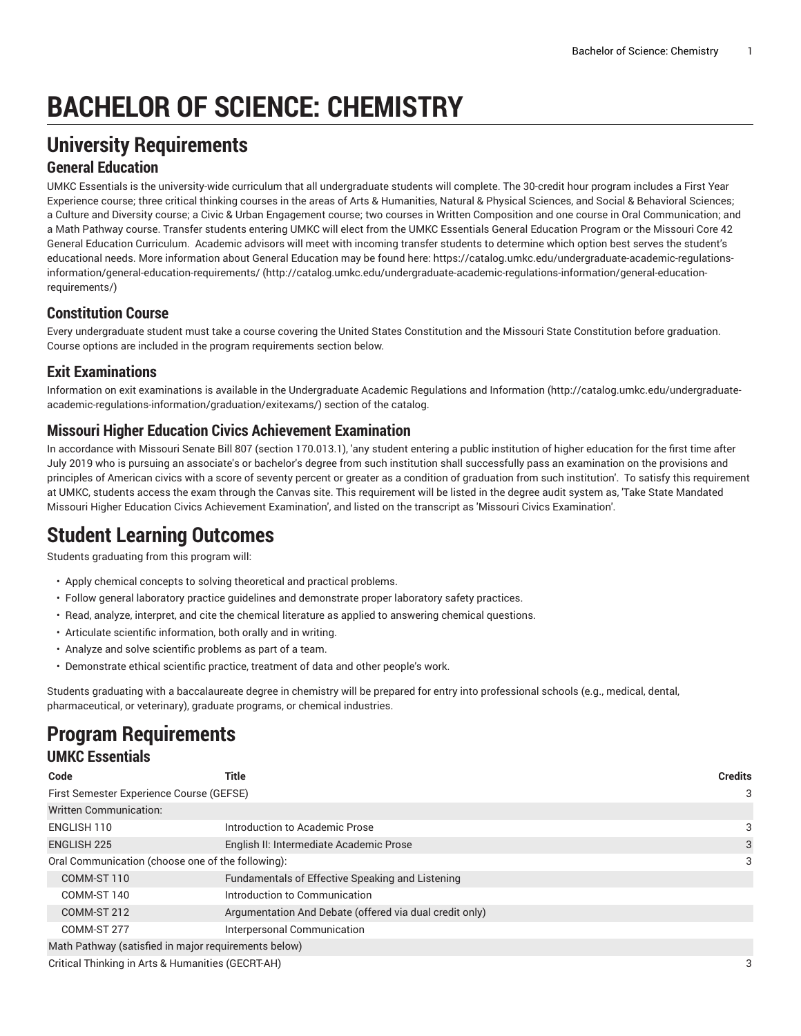# **BACHELOR OF SCIENCE: CHEMISTRY**

## **University Requirements**

#### **General Education**

UMKC Essentials is the university-wide curriculum that all undergraduate students will complete. The 30-credit hour program includes a First Year Experience course; three critical thinking courses in the areas of Arts & Humanities, Natural & Physical Sciences, and Social & Behavioral Sciences; a Culture and Diversity course; a Civic & Urban Engagement course; two courses in Written Composition and one course in Oral Communication; and a Math Pathway course. Transfer students entering UMKC will elect from the UMKC Essentials General Education Program or the Missouri Core 42 General Education Curriculum. Academic advisors will meet with incoming transfer students to determine which option best serves the student's educational needs. More information about General Education may be found here: [https://catalog.umkc.edu/undergraduate-academic-regulations](http://catalog.umkc.edu/undergraduate-academic-regulations-information/general-education-requirements/)[information/general-education-requirements/](http://catalog.umkc.edu/undergraduate-academic-regulations-information/general-education-requirements/) ([http://catalog.umkc.edu/undergraduate-academic-regulations-information/general-education](http://catalog.umkc.edu/undergraduate-academic-regulations-information/general-education-requirements/)[requirements/\)](http://catalog.umkc.edu/undergraduate-academic-regulations-information/general-education-requirements/)

#### **Constitution Course**

Every undergraduate student must take a course covering the United States Constitution and the Missouri State Constitution before graduation. Course options are included in the program requirements section below.

#### **Exit Examinations**

Information on exit examinations is available in the [Undergraduate](http://catalog.umkc.edu/undergraduate-academic-regulations-information/graduation/exitexams/) Academic Regulations and Information [\(http://catalog.umkc.edu/undergraduate](http://catalog.umkc.edu/undergraduate-academic-regulations-information/graduation/exitexams/)[academic-regulations-information/graduation/exitexams/](http://catalog.umkc.edu/undergraduate-academic-regulations-information/graduation/exitexams/)) section of the catalog.

#### **Missouri Higher Education Civics Achievement Examination**

In accordance with Missouri Senate Bill 807 (section 170.013.1), 'any student entering a public institution of higher education for the first time after July 2019 who is pursuing an associate's or bachelor's degree from such institution shall successfully pass an examination on the provisions and principles of American civics with a score of seventy percent or greater as a condition of graduation from such institution'. To satisfy this requirement at UMKC, students access the exam through the Canvas site. This requirement will be listed in the degree audit system as, 'Take State Mandated Missouri Higher Education Civics Achievement Examination', and listed on the transcript as 'Missouri Civics Examination'.

### **Student Learning Outcomes**

Students graduating from this program will:

- Apply chemical concepts to solving theoretical and practical problems.
- Follow general laboratory practice guidelines and demonstrate proper laboratory safety practices.
- Read, analyze, interpret, and cite the chemical literature as applied to answering chemical questions.
- Articulate scientific information, both orally and in writing.
- Analyze and solve scientific problems as part of a team.
- Demonstrate ethical scientific practice, treatment of data and other people's work.

Students graduating with a baccalaureate degree in chemistry will be prepared for entry into professional schools (e.g., medical, dental, pharmaceutical, or veterinary), graduate programs, or chemical industries.

# **Program Requirements**

#### **UMKC Essentials**

| Code                                                 | Title                                                   | <b>Credits</b> |
|------------------------------------------------------|---------------------------------------------------------|----------------|
| First Semester Experience Course (GEFSE)             |                                                         | 3              |
| Written Communication:                               |                                                         |                |
| ENGLISH 110                                          | Introduction to Academic Prose                          | 3              |
| <b>ENGLISH 225</b>                                   | English II: Intermediate Academic Prose                 | 3              |
| Oral Communication (choose one of the following):    |                                                         |                |
| COMM-ST 110                                          | Fundamentals of Effective Speaking and Listening        |                |
| COMM-ST 140                                          | Introduction to Communication                           |                |
| COMM-ST 212                                          | Argumentation And Debate (offered via dual credit only) |                |
| COMM-ST 277                                          | Interpersonal Communication                             |                |
| Math Pathway (satisfied in major requirements below) |                                                         |                |

Critical Thinking in Arts & Humanities (GECRT-AH) 3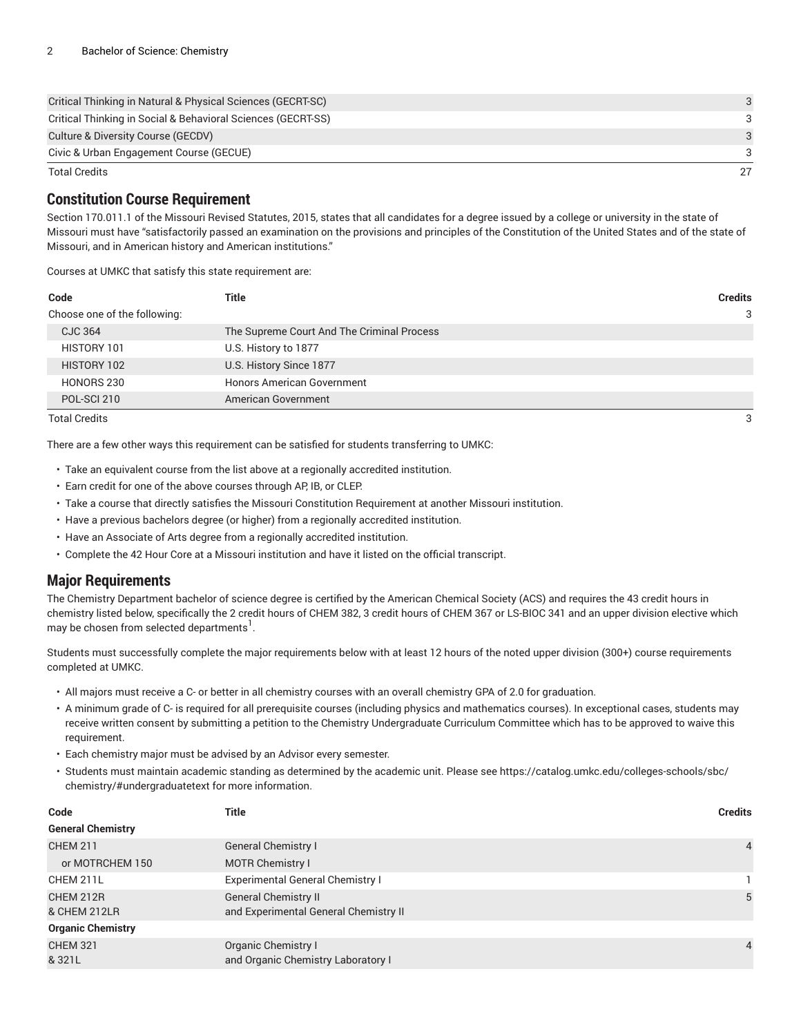| Critical Thinking in Natural & Physical Sciences (GECRT-SC)  | $\mathcal{A}$ |
|--------------------------------------------------------------|---------------|
| Critical Thinking in Social & Behavioral Sciences (GECRT-SS) |               |
| Culture & Diversity Course (GECDV)                           | $\mathcal{A}$ |
| Civic & Urban Engagement Course (GECUE)                      | 3             |
| <b>Total Credits</b>                                         | 27            |

#### **Constitution Course Requirement**

Section 170.011.1 of the Missouri Revised Statutes, 2015, states that all candidates for a degree issued by a college or university in the state of Missouri must have "satisfactorily passed an examination on the provisions and principles of the Constitution of the United States and of the state of Missouri, and in American history and American institutions."

Courses at UMKC that satisfy this state requirement are:

| Code                         | Title                                      | <b>Credits</b> |
|------------------------------|--------------------------------------------|----------------|
| Choose one of the following: |                                            | 3              |
| <b>CJC 364</b>               | The Supreme Court And The Criminal Process |                |
| HISTORY 101                  | U.S. History to 1877                       |                |
| HISTORY 102                  | U.S. History Since 1877                    |                |
| HONORS 230                   | <b>Honors American Government</b>          |                |
| POL-SCI 210                  | American Government                        |                |
| <b>Total Credits</b>         |                                            | 3              |

There are a few other ways this requirement can be satisfied for students transferring to UMKC:

- Take an equivalent course from the list above at a regionally accredited institution.
- Earn credit for one of the above courses through AP, IB, or CLEP.
- Take a course that directly satisfies the Missouri Constitution Requirement at another Missouri institution.
- Have a previous bachelors degree (or higher) from a regionally accredited institution.
- Have an Associate of Arts degree from a regionally accredited institution.
- Complete the 42 Hour Core at a Missouri institution and have it listed on the official transcript.

#### **Major Requirements**

The Chemistry Department bachelor of science degree is certified by the American Chemical Society (ACS) and requires the 43 credit hours in chemistry listed below, specifically the 2 credit hours of [CHEM 382](/search/?P=CHEM%20382), 3 credit hours of [CHEM 367](/search/?P=CHEM%20367) or [LS-BIOC 341](/search/?P=LS-BIOC%20341) and an upper division elective which may be chosen from selected departments $^{\rm l}$  .

Students must successfully complete the major requirements below with at least 12 hours of the noted upper division (300+) course requirements completed at UMKC.

- All majors must receive a C- or better in all chemistry courses with an overall chemistry GPA of 2.0 for graduation.
- A minimum grade of C- is required for all prerequisite courses (including physics and mathematics courses). In exceptional cases, students may receive written consent by submitting a petition to the Chemistry Undergraduate Curriculum Committee which has to be approved to waive this requirement.
- Each chemistry major must be advised by an Advisor every semester.
- Students must maintain academic standing as determined by the academic unit. Please see [https://catalog.umkc.edu/colleges-schools/sbc/](https://catalog.umkc.edu/colleges-schools/sbc/chemistry/#undergraduatetext) [chemistry/#undergraduatetext](https://catalog.umkc.edu/colleges-schools/sbc/chemistry/#undergraduatetext) for more information.

| Code                      | Title                                                                | <b>Credits</b> |
|---------------------------|----------------------------------------------------------------------|----------------|
| <b>General Chemistry</b>  |                                                                      |                |
| <b>CHEM 211</b>           | <b>General Chemistry I</b>                                           | $\overline{4}$ |
| or MOTRCHEM 150           | <b>MOTR Chemistry I</b>                                              |                |
| CHEM 211L                 | <b>Experimental General Chemistry I</b>                              |                |
| CHEM 212R<br>& CHEM 212LR | <b>General Chemistry II</b><br>and Experimental General Chemistry II | 5              |
| <b>Organic Chemistry</b>  |                                                                      |                |
| <b>CHEM 321</b>           | Organic Chemistry I                                                  | $\overline{4}$ |
| & 321L                    | and Organic Chemistry Laboratory I                                   |                |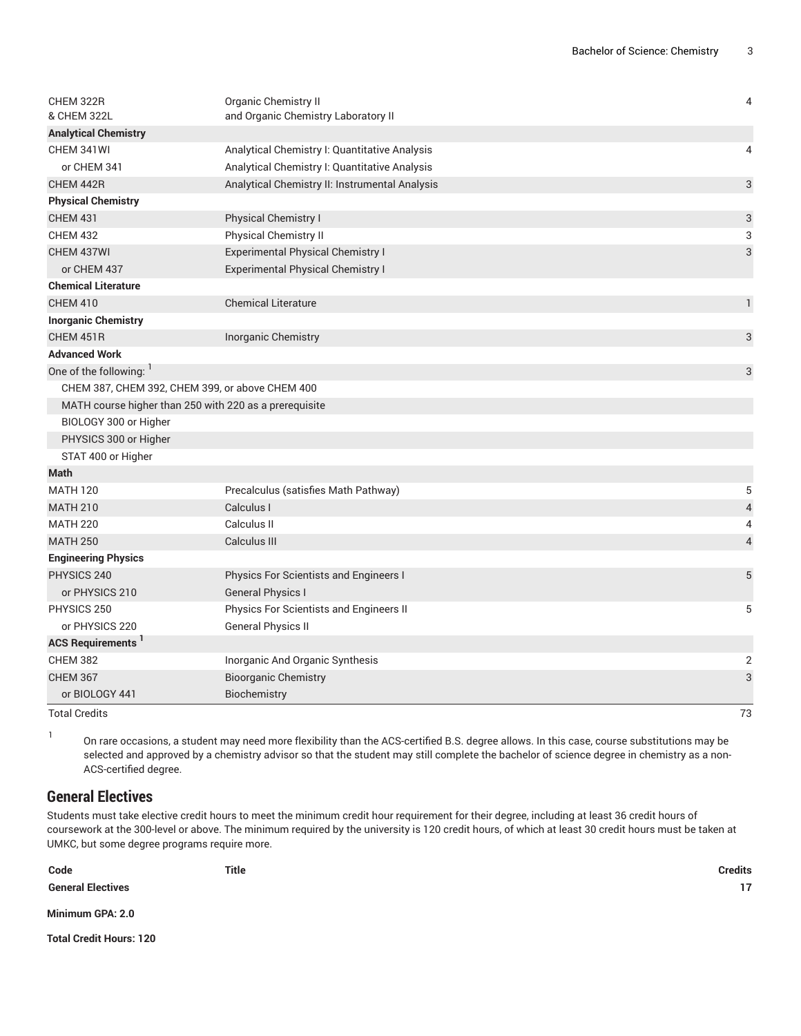| CHEM 322R                                              | Organic Chemistry II                           | $\overline{4}$ |
|--------------------------------------------------------|------------------------------------------------|----------------|
| & CHEM 322L                                            | and Organic Chemistry Laboratory II            |                |
| <b>Analytical Chemistry</b>                            |                                                |                |
| CHEM 341WI                                             | Analytical Chemistry I: Quantitative Analysis  | 4              |
| or CHEM 341                                            | Analytical Chemistry I: Quantitative Analysis  |                |
| CHEM 442R                                              | Analytical Chemistry II: Instrumental Analysis | 3              |
| <b>Physical Chemistry</b>                              |                                                |                |
| <b>CHEM 431</b>                                        | <b>Physical Chemistry I</b>                    | 3              |
| <b>CHEM 432</b>                                        | Physical Chemistry II                          | 3              |
| CHEM 437WI                                             | <b>Experimental Physical Chemistry I</b>       | 3              |
| or CHEM 437                                            | <b>Experimental Physical Chemistry I</b>       |                |
| <b>Chemical Literature</b>                             |                                                |                |
| <b>CHEM 410</b>                                        | <b>Chemical Literature</b>                     | $\mathbf{1}$   |
| <b>Inorganic Chemistry</b>                             |                                                |                |
| CHEM 451R                                              | Inorganic Chemistry                            | 3              |
| <b>Advanced Work</b>                                   |                                                |                |
| One of the following:                                  |                                                | 3              |
| CHEM 387, CHEM 392, CHEM 399, or above CHEM 400        |                                                |                |
| MATH course higher than 250 with 220 as a prerequisite |                                                |                |
| BIOLOGY 300 or Higher                                  |                                                |                |
| PHYSICS 300 or Higher                                  |                                                |                |
| STAT 400 or Higher                                     |                                                |                |
| <b>Math</b>                                            |                                                |                |
| <b>MATH 120</b>                                        | Precalculus (satisfies Math Pathway)           | 5              |
| <b>MATH 210</b>                                        | Calculus I                                     | 4              |
| <b>MATH 220</b>                                        | Calculus II                                    | 4              |
| <b>MATH 250</b>                                        | Calculus III                                   | $\overline{4}$ |
| <b>Engineering Physics</b>                             |                                                |                |
| PHYSICS 240                                            | Physics For Scientists and Engineers I         | 5              |
| or PHYSICS 210                                         | <b>General Physics I</b>                       |                |
| PHYSICS 250                                            | Physics For Scientists and Engineers II        | 5              |
| or PHYSICS 220                                         | <b>General Physics II</b>                      |                |
| <b>ACS Requirements</b> <sup>1</sup>                   |                                                |                |
| <b>CHEM 382</b>                                        | Inorganic And Organic Synthesis                | $\overline{2}$ |
| <b>CHEM 367</b>                                        | <b>Bioorganic Chemistry</b>                    | 3              |
| or BIOLOGY 441                                         | Biochemistry                                   |                |
| <b>Total Credits</b>                                   |                                                | 73             |

1

On rare occasions, a student may need more flexibility than the ACS-certified B.S. degree allows. In this case, course substitutions may be selected and approved by a chemistry advisor so that the student may still complete the bachelor of science degree in chemistry as a non-ACS-certified degree.

#### **General Electives**

Students must take elective credit hours to meet the minimum credit hour requirement for their degree, including at least 36 credit hours of coursework at the 300-level or above. The minimum required by the university is 120 credit hours, of which at least 30 credit hours must be taken at UMKC, but some degree programs require more.

**Code Title Credits General Electives 17 Minimum GPA: 2.0 Total Credit Hours: 120**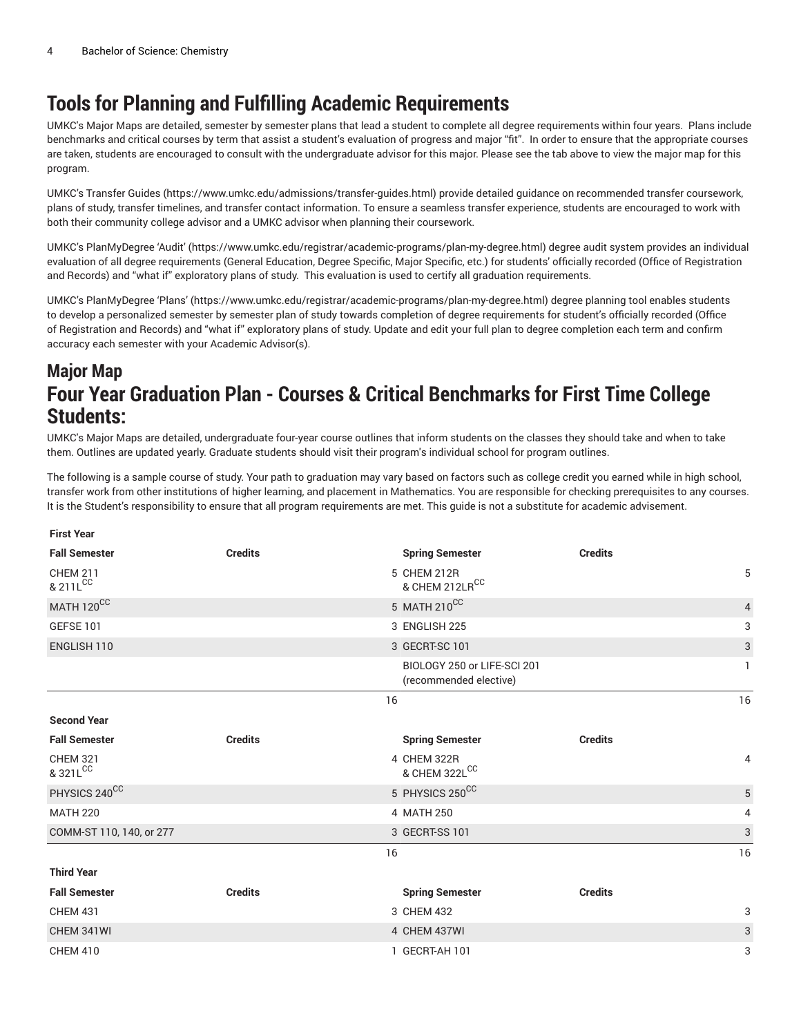# **Tools for Planning and Fulfilling Academic Requirements**

UMKC's Major Maps are detailed, semester by semester plans that lead a student to complete all degree requirements within four years. Plans include benchmarks and critical courses by term that assist a student's evaluation of progress and major "fit". In order to ensure that the appropriate courses are taken, students are encouraged to consult with the undergraduate advisor for this major. Please see the tab above to view the major map for this program.

UMKC's [Transfer](https://www.umkc.edu/admissions/transfer-guides.html) Guides [\(https://www.umkc.edu/admissions/transfer-guides.html](https://www.umkc.edu/admissions/transfer-guides.html)) provide detailed guidance on recommended transfer coursework, plans of study, transfer timelines, and transfer contact information. To ensure a seamless transfer experience, students are encouraged to work with both their community college advisor and a UMKC advisor when planning their coursework.

UMKC's [PlanMyDegree](https://www.umkc.edu/registrar/academic-programs/plan-my-degree.html) 'Audit' ([https://www.umkc.edu/registrar/academic-programs/plan-my-degree.html\)](https://www.umkc.edu/registrar/academic-programs/plan-my-degree.html) degree audit system provides an individual evaluation of all degree requirements (General Education, Degree Specific, Major Specific, etc.) for students' officially recorded (Office of Registration and Records) and "what if" exploratory plans of study. This evaluation is used to certify all graduation requirements.

UMKC's [PlanMyDegree](https://www.umkc.edu/registrar/academic-programs/plan-my-degree.html) 'Plans' [\(https://www.umkc.edu/registrar/academic-programs/plan-my-degree.html\)](https://www.umkc.edu/registrar/academic-programs/plan-my-degree.html) degree planning tool enables students to develop a personalized semester by semester plan of study towards completion of degree requirements for student's officially recorded (Office of Registration and Records) and "what if" exploratory plans of study. Update and edit your full plan to degree completion each term and confirm accuracy each semester with your Academic Advisor(s).

### **Major Map Four Year Graduation Plan - Courses & Critical Benchmarks for First Time College Students:**

UMKC's Major Maps are detailed, undergraduate four-year course outlines that inform students on the classes they should take and when to take them. Outlines are updated yearly. Graduate students should visit their program's individual school for program outlines.

The following is a sample course of study. Your path to graduation may vary based on factors such as college credit you earned while in high school, transfer work from other institutions of higher learning, and placement in Mathematics. You are responsible for checking prerequisites to any courses. It is the Student's responsibility to ensure that all program requirements are met. This guide is not a substitute for academic advisement.

| <b>First Year</b>           |                |                                                       |                |                           |
|-----------------------------|----------------|-------------------------------------------------------|----------------|---------------------------|
| <b>Fall Semester</b>        | <b>Credits</b> | <b>Spring Semester</b>                                | <b>Credits</b> |                           |
| <b>CHEM 211</b><br>& 211LCC |                | 5 CHEM 212R<br>& CHEM 212LRCC                         |                | 5                         |
| MATH 120CC                  |                | 5 MATH 210CC                                          |                | $\overline{4}$            |
| <b>GEFSE 101</b>            |                | 3 ENGLISH 225                                         |                | 3                         |
| ENGLISH 110                 |                | 3 GECRT-SC 101                                        |                | $\ensuremath{\mathsf{3}}$ |
|                             |                | BIOLOGY 250 or LIFE-SCI 201<br>(recommended elective) |                | $\mathbf{1}$              |
|                             | 16             |                                                       |                | 16                        |
| <b>Second Year</b>          |                |                                                       |                |                           |
| <b>Fall Semester</b>        | <b>Credits</b> | <b>Spring Semester</b>                                | <b>Credits</b> |                           |
| <b>CHEM 321</b><br>& 321LCC |                | 4 CHEM 322R<br>& CHEM 322LCC                          |                | 4                         |
| PHYSICS 240CC               |                | 5 PHYSICS 250CC                                       |                | $\sqrt{5}$                |
| <b>MATH 220</b>             |                | 4 MATH 250                                            |                | 4                         |
| COMM-ST 110, 140, or 277    |                | 3 GECRT-SS 101                                        |                | $\ensuremath{\mathsf{3}}$ |
|                             | 16             |                                                       |                | 16                        |
| <b>Third Year</b>           |                |                                                       |                |                           |
| <b>Fall Semester</b>        | <b>Credits</b> | <b>Spring Semester</b>                                | <b>Credits</b> |                           |
| <b>CHEM 431</b>             |                | 3 CHEM 432                                            |                | 3                         |
| CHEM 341WI                  |                | 4 CHEM 437WI                                          |                | 3                         |
| <b>CHEM 410</b>             |                | 1 GECRT-AH 101                                        |                | 3                         |